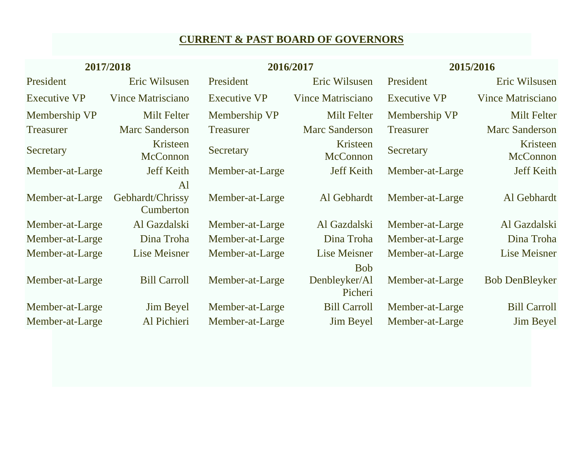# **CURRENT & PAST BOARD OF GOVERNORS**

| 2017/2018           |                                     |                     | 2016/2017                              | 2015/2016           |                             |  |
|---------------------|-------------------------------------|---------------------|----------------------------------------|---------------------|-----------------------------|--|
| President           | Eric Wilsusen                       | President           | Eric Wilsusen                          | President           | Eric Wilsusen               |  |
| <b>Executive VP</b> | <b>Vince Matrisciano</b>            | <b>Executive VP</b> | <b>Vince Matrisciano</b>               | <b>Executive VP</b> | <b>Vince Matrisciano</b>    |  |
| Membership VP       | <b>Milt Felter</b>                  | Membership VP       | <b>Milt Felter</b>                     | Membership VP       | <b>Milt Felter</b>          |  |
| <b>Treasurer</b>    | <b>Marc Sanderson</b>               | <b>Treasurer</b>    | <b>Marc Sanderson</b>                  | <b>Treasurer</b>    | <b>Marc Sanderson</b>       |  |
| Secretary           | Kristeen<br><b>McConnon</b>         | Secretary           | Kristeen<br><b>McConnon</b>            | Secretary           | Kristeen<br><b>McConnon</b> |  |
| Member-at-Large     | <b>Jeff Keith</b>                   | Member-at-Large     | <b>Jeff Keith</b>                      | Member-at-Large     | <b>Jeff Keith</b>           |  |
| Member-at-Large     | Al<br>Gebhardt/Chrissy<br>Cumberton | Member-at-Large     | Al Gebhardt                            | Member-at-Large     | Al Gebhardt                 |  |
| Member-at-Large     | Al Gazdalski                        | Member-at-Large     | Al Gazdalski                           | Member-at-Large     | Al Gazdalski                |  |
| Member-at-Large     | Dina Troha                          | Member-at-Large     | Dina Troha                             | Member-at-Large     | Dina Troha                  |  |
| Member-at-Large     | Lise Meisner                        | Member-at-Large     | Lise Meisner                           | Member-at-Large     | Lise Meisner                |  |
| Member-at-Large     | <b>Bill Carroll</b>                 | Member-at-Large     | <b>Bob</b><br>Denbleyker/Al<br>Picheri | Member-at-Large     | <b>Bob DenBleyker</b>       |  |
| Member-at-Large     | <b>Jim Beyel</b>                    | Member-at-Large     | <b>Bill Carroll</b>                    | Member-at-Large     | <b>Bill Carroll</b>         |  |
| Member-at-Large     | Al Pichieri                         | Member-at-Large     | <b>Jim Beyel</b>                       | Member-at-Large     | <b>Jim Beyel</b>            |  |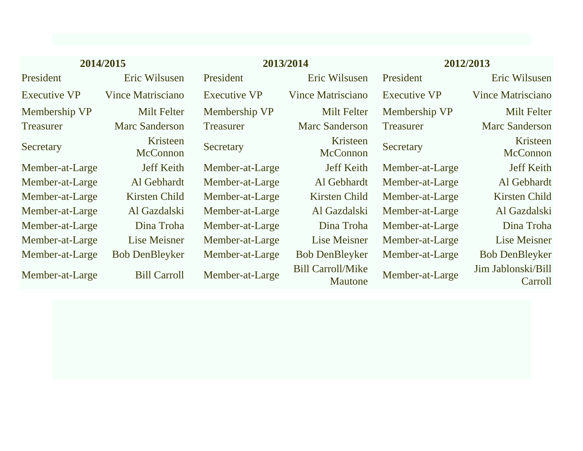| 2014/2015           |                             |                     | 2013/2014                                  | 2012/2013           |                               |
|---------------------|-----------------------------|---------------------|--------------------------------------------|---------------------|-------------------------------|
| President           | Eric Wilsusen               | President           | Eric Wilsusen                              | President           | Eric Wilsusen                 |
| <b>Executive VP</b> | Vince Matrisciano           | <b>Executive VP</b> | Vince Matrisciano                          | <b>Executive VP</b> | Vince Matrisciano             |
| Membership VP       | Milt Felter                 | Membership VP       | Milt Felter                                | Membership VP       | <b>Milt Felter</b>            |
| <b>Treasurer</b>    | <b>Marc Sanderson</b>       | <b>Treasurer</b>    | <b>Marc Sanderson</b>                      | <b>Treasurer</b>    | <b>Marc Sanderson</b>         |
| Secretary           | Kristeen<br><b>McConnon</b> | Secretary           | Kristeen<br><b>McConnon</b>                | Secretary           | Kristeen<br>McConnon          |
| Member-at-Large     | <b>Jeff Keith</b>           | Member-at-Large     | <b>Jeff Keith</b>                          | Member-at-Large     | <b>Jeff Keith</b>             |
| Member-at-Large     | Al Gebhardt                 | Member-at-Large     | Al Gebhardt                                | Member-at-Large     | Al Gebhardt                   |
| Member-at-Large     | Kirsten Child               | Member-at-Large     | Kirsten Child                              | Member-at-Large     | Kirsten Child                 |
| Member-at-Large     | Al Gazdalski                | Member-at-Large     | Al Gazdalski                               | Member-at-Large     | Al Gazdalski                  |
| Member-at-Large     | Dina Troha                  | Member-at-Large     | Dina Troha                                 | Member-at-Large     | Dina Troha                    |
| Member-at-Large     | Lise Meisner                | Member-at-Large     | Lise Meisner                               | Member-at-Large     | Lise Meisner                  |
| Member-at-Large     | <b>Bob DenBleyker</b>       | Member-at-Large     | <b>Bob DenBleyker</b>                      | Member-at-Large     | <b>Bob DenBleyker</b>         |
| Member-at-Large     | <b>Bill Carroll</b>         | Member-at-Large     | <b>Bill Carroll/Mike</b><br><b>Mautone</b> | Member-at-Large     | Jim Jablonski/Bill<br>Carroll |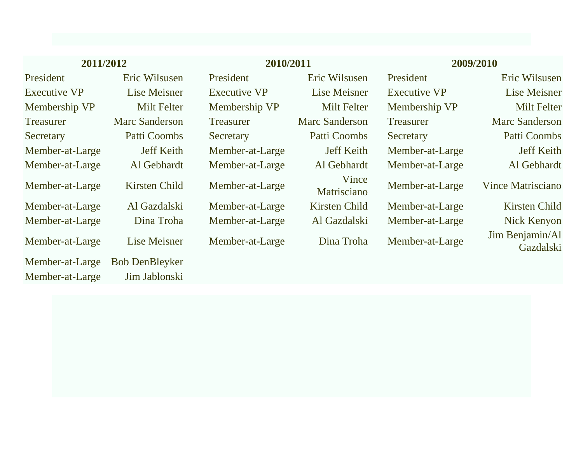| 2011/2012                          |                                        |                     | 2010/2011             |                     | 2009/2010                    |  |
|------------------------------------|----------------------------------------|---------------------|-----------------------|---------------------|------------------------------|--|
| President                          | Eric Wilsusen                          | President           | Eric Wilsusen         | President           | Eric Wilsusen                |  |
| <b>Executive VP</b>                | Lise Meisner                           | <b>Executive VP</b> | Lise Meisner          | <b>Executive VP</b> | Lise Meisner                 |  |
| Membership VP                      | Milt Felter                            | Membership VP       | <b>Milt Felter</b>    | Membership VP       | <b>Milt Felter</b>           |  |
| <b>Treasurer</b>                   | <b>Marc Sanderson</b>                  | <b>Treasurer</b>    | <b>Marc Sanderson</b> | <b>Treasurer</b>    | <b>Marc Sanderson</b>        |  |
| Secretary                          | Patti Coombs                           | Secretary           | Patti Coombs          | Secretary           | Patti Coombs                 |  |
| Member-at-Large                    | <b>Jeff Keith</b>                      | Member-at-Large     | <b>Jeff Keith</b>     | Member-at-Large     | <b>Jeff Keith</b>            |  |
| Member-at-Large                    | Al Gebhardt                            | Member-at-Large     | Al Gebhardt           | Member-at-Large     | Al Gebhardt                  |  |
| Member-at-Large                    | Kirsten Child                          | Member-at-Large     | Vince<br>Matrisciano  | Member-at-Large     | <b>Vince Matrisciano</b>     |  |
| Member-at-Large                    | Al Gazdalski                           | Member-at-Large     | Kirsten Child         | Member-at-Large     | Kirsten Child                |  |
| Member-at-Large                    | Dina Troha                             | Member-at-Large     | Al Gazdalski          | Member-at-Large     | Nick Kenyon                  |  |
| Member-at-Large                    | Lise Meisner                           | Member-at-Large     | Dina Troha            | Member-at-Large     | Jim Benjamin/Al<br>Gazdalski |  |
| Member-at-Large<br>Member-at-Large | <b>Bob DenBleyker</b><br>Jim Jablonski |                     |                       |                     |                              |  |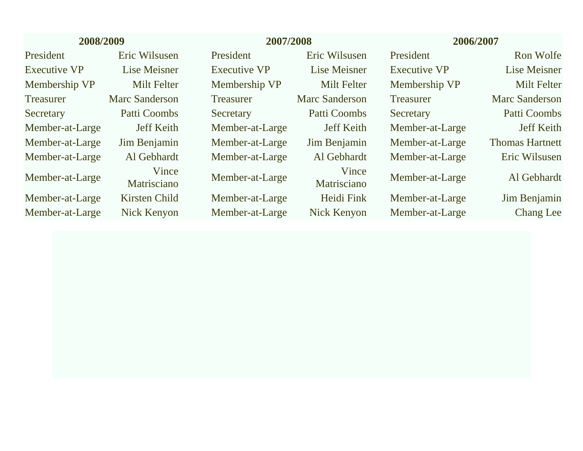| 2008/2009           |                       |                     | 2007/2008             |                     | 2006/2007              |  |
|---------------------|-----------------------|---------------------|-----------------------|---------------------|------------------------|--|
| President           | Eric Wilsusen         | President           | Eric Wilsusen         | President           | Ron Wolfe              |  |
| <b>Executive VP</b> | Lise Meisner          | <b>Executive VP</b> | Lise Meisner          | <b>Executive VP</b> | Lise Meisner           |  |
| Membership VP       | <b>Milt Felter</b>    | Membership VP       | <b>Milt Felter</b>    | Membership VP       | <b>Milt Felter</b>     |  |
| <b>Treasurer</b>    | <b>Marc Sanderson</b> | <b>Treasurer</b>    | <b>Marc Sanderson</b> | <b>Treasurer</b>    | <b>Marc Sanderson</b>  |  |
| Secretary           | <b>Patti Coombs</b>   | Secretary           | Patti Coombs          | Secretary           | Patti Coombs           |  |
| Member-at-Large     | <b>Jeff Keith</b>     | Member-at-Large     | <b>Jeff Keith</b>     | Member-at-Large     | <b>Jeff Keith</b>      |  |
| Member-at-Large     | Jim Benjamin          | Member-at-Large     | Jim Benjamin          | Member-at-Large     | <b>Thomas Hartnett</b> |  |
| Member-at-Large     | Al Gebhardt           | Member-at-Large     | Al Gebhardt           | Member-at-Large     | Eric Wilsusen          |  |
| Member-at-Large     | Vince<br>Matrisciano  | Member-at-Large     | Vince<br>Matrisciano  | Member-at-Large     | Al Gebhardt            |  |
| Member-at-Large     | Kirsten Child         | Member-at-Large     | Heidi Fink            | Member-at-Large     | Jim Benjamin           |  |
| Member-at-Large     | Nick Kenyon           | Member-at-Large     | Nick Kenyon           | Member-at-Large     | Chang Lee              |  |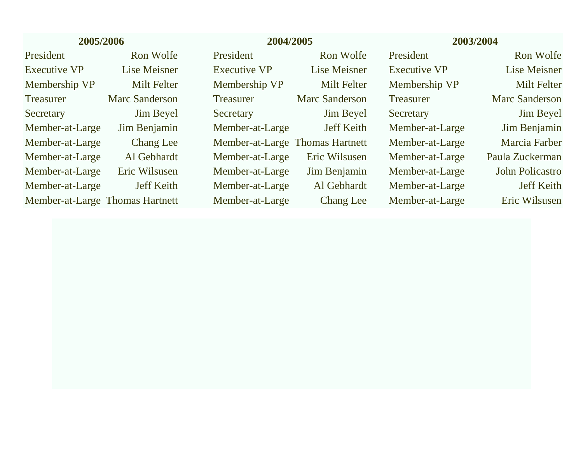| 2005/2006                       |                       |                                 | 2004/2005             |                     | 2003/2004              |  |
|---------------------------------|-----------------------|---------------------------------|-----------------------|---------------------|------------------------|--|
| President                       | Ron Wolfe             | President                       | Ron Wolfe             | <b>President</b>    | Ron Wolfe              |  |
| <b>Executive VP</b>             | Lise Meisner          | <b>Executive VP</b>             | Lise Meisner          | <b>Executive VP</b> | Lise Meisner           |  |
| Membership VP                   | <b>Milt Felter</b>    | Membership VP                   | <b>Milt Felter</b>    | Membership VP       | <b>Milt Felter</b>     |  |
| <b>Treasurer</b>                | <b>Marc Sanderson</b> | <b>Treasurer</b>                | <b>Marc Sanderson</b> | <b>Treasurer</b>    | <b>Marc Sanderson</b>  |  |
| Secretary                       | <b>Jim Beyel</b>      | Secretary                       | <b>Jim Beyel</b>      | Secretary           | <b>Jim Beyel</b>       |  |
| Member-at-Large                 | Jim Benjamin          | Member-at-Large                 | <b>Jeff Keith</b>     | Member-at-Large     | Jim Benjamin           |  |
| Member-at-Large                 | Chang Lee             | Member-at-Large Thomas Hartnett |                       | Member-at-Large     | Marcia Farber          |  |
| Member-at-Large                 | Al Gebhardt           | Member-at-Large                 | Eric Wilsusen         | Member-at-Large     | Paula Zuckerman        |  |
| Member-at-Large                 | Eric Wilsusen         | Member-at-Large                 | Jim Benjamin          | Member-at-Large     | <b>John Policastro</b> |  |
| Member-at-Large                 | <b>Jeff Keith</b>     | Member-at-Large                 | Al Gebhardt           | Member-at-Large     | <b>Jeff Keith</b>      |  |
| Member-at-Large Thomas Hartnett |                       | Member-at-Large                 | <b>Chang</b> Lee      | Member-at-Large     | Eric Wilsusen          |  |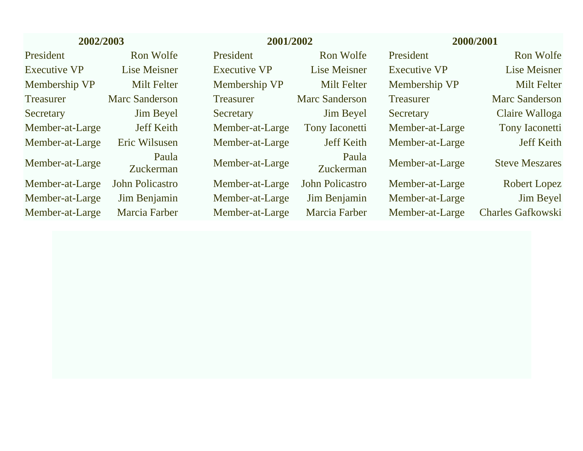| 2002/2003           |                           |                     | 2001/2002              |                     | 2000/2001                |  |
|---------------------|---------------------------|---------------------|------------------------|---------------------|--------------------------|--|
| President           | Ron Wolfe                 | President           | Ron Wolfe              | President           | Ron Wolfe                |  |
| <b>Executive VP</b> | <b>Lise Meisner</b>       | <b>Executive VP</b> | Lise Meisner           | <b>Executive VP</b> | Lise Meisner             |  |
| Membership VP       | Milt Felter               | Membership VP       | <b>Milt Felter</b>     | Membership VP       | <b>Milt Felter</b>       |  |
| <b>Treasurer</b>    | Marc Sanderson            | <b>Treasurer</b>    | Marc Sanderson         | <b>Treasurer</b>    | Marc Sanderson           |  |
| Secretary           | <b>Jim Beyel</b>          | Secretary           | <b>Jim Beyel</b>       | Secretary           | Claire Walloga           |  |
| Member-at-Large     | <b>Jeff Keith</b>         | Member-at-Large     | <b>Tony Iaconetti</b>  | Member-at-Large     | <b>Tony Iaconetti</b>    |  |
| Member-at-Large     | Eric Wilsusen             | Member-at-Large     | <b>Jeff Keith</b>      | Member-at-Large     | <b>Jeff Keith</b>        |  |
| Member-at-Large     | Paula<br><b>Zuckerman</b> | Member-at-Large     | Paula<br>Zuckerman     | Member-at-Large     | <b>Steve Meszares</b>    |  |
| Member-at-Large     | <b>John Policastro</b>    | Member-at-Large     | <b>John Policastro</b> | Member-at-Large     | Robert Lopez             |  |
| Member-at-Large     | Jim Benjamin              | Member-at-Large     | Jim Benjamin           | Member-at-Large     | <b>Jim Beyel</b>         |  |
| Member-at-Large     | Marcia Farber             | Member-at-Large     | <b>Marcia Farber</b>   | Member-at-Large     | <b>Charles Gafkowski</b> |  |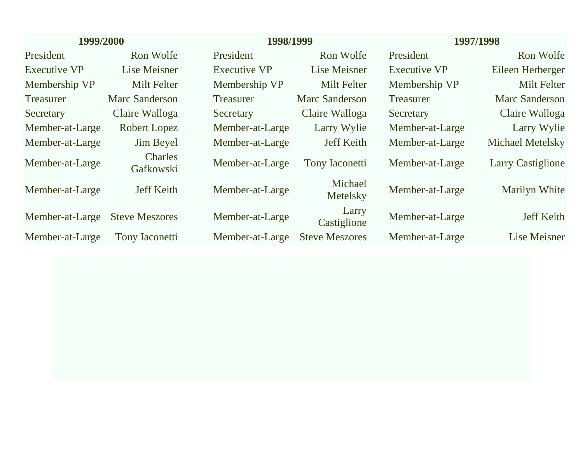| 1999/2000           |                             | 1998/1999           |                       | 1997/1998           |                          |  |
|---------------------|-----------------------------|---------------------|-----------------------|---------------------|--------------------------|--|
| President           | Ron Wolfe                   | President           | Ron Wolfe             | President           | Ron Wolfe                |  |
| <b>Executive VP</b> | Lise Meisner                | <b>Executive VP</b> | Lise Meisner          | <b>Executive VP</b> | Eileen Herberger         |  |
| Membership VP       | <b>Milt Felter</b>          | Membership VP       | <b>Milt Felter</b>    | Membership VP       | Milt Felter              |  |
| <b>Treasurer</b>    | <b>Marc Sanderson</b>       | <b>Treasurer</b>    | <b>Marc Sanderson</b> | <b>Treasurer</b>    | <b>Marc Sanderson</b>    |  |
| Secretary           | Claire Walloga              | Secretary           | Claire Walloga        | Secretary           | Claire Walloga           |  |
| Member-at-Large     | Robert Lopez                | Member-at-Large     | Larry Wylie           | Member-at-Large     | Larry Wylie              |  |
| Member-at-Large     | <b>Jim Beyel</b>            | Member-at-Large     | <b>Jeff Keith</b>     | Member-at-Large     | <b>Michael Metelsky</b>  |  |
| Member-at-Large     | <b>Charles</b><br>Gafkowski | Member-at-Large     | <b>Tony Iaconetti</b> | Member-at-Large     | <b>Larry Castiglione</b> |  |
| Member-at-Large     | <b>Jeff Keith</b>           | Member-at-Large     | Michael<br>Metelsky   | Member-at-Large     | <b>Marilyn White</b>     |  |
| Member-at-Large     | <b>Steve Meszores</b>       | Member-at-Large     | Larry<br>Castiglione  | Member-at-Large     | <b>Jeff Keith</b>        |  |
| Member-at-Large     | <b>Tony Iaconetti</b>       | Member-at-Large     | <b>Steve Meszores</b> | Member-at-Large     | Lise Meisner             |  |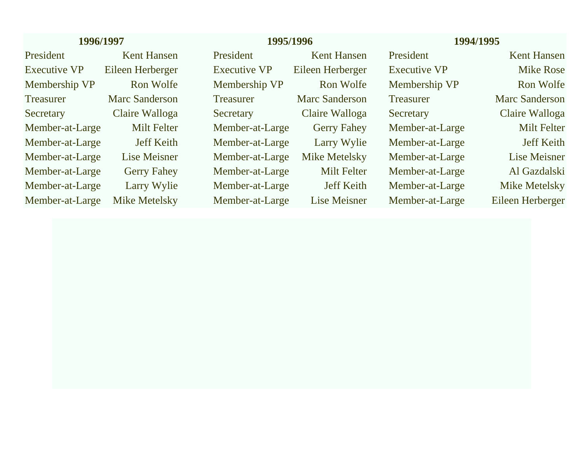## **1996/1997 1995/1996 1994/1995**

Executive VP Eileen Herberger Executive VP Eileen Herberger Executive VP Mike Rose Membership VP and Wolfe Membership VP Ron Wolfe Membership VP Ron Wolfe Secretary Claire Walloga Secretary Claire Walloga Secretary Claire Walloga Member-at-Large Milt Felter Member-at-Large Gerry Fahey Member-at-Large Milt Felter Member-at-Large Jeff Keith Member-at-Large Larry Wylie Member-at-Large Jeff Keith Member-at-Large Lise Meisner Member-at-Large Mike Metelsky Member-at-Large Lise Meisner Member-at-Large Gerry Fahey Member-at-Large Milt Felter Member-at-Large Al Gazdalski Member-at-Large Larry Wylie Member-at-Large Jeff Keith Member-at-Large Mike Metelsky Member-at-Large Mike Metelsky Member-at-Large Lise Meisner Member-at-Large Eileen Herberger

President Kent Hansen President Kent Hansen President Kent Hansen

Treasurer Marc Sanderson Treasurer Marc Sanderson Treasurer Marc Sanderson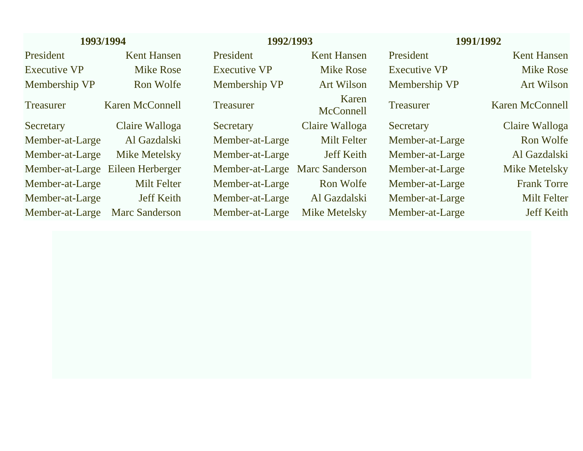| 1993/1994           |                       |                     | 1992/1993             |                     | 1991/1992          |
|---------------------|-----------------------|---------------------|-----------------------|---------------------|--------------------|
| President           | <b>Kent Hansen</b>    | President           | <b>Kent Hansen</b>    | President           | <b>Kent Hansen</b> |
| <b>Executive VP</b> | <b>Mike Rose</b>      | <b>Executive VP</b> | <b>Mike Rose</b>      | <b>Executive VP</b> | <b>Mike Rose</b>   |
| Membership VP       | Ron Wolfe             | Membership VP       | <b>Art Wilson</b>     | Membership VP       | <b>Art Wilson</b>  |
| <b>Treasurer</b>    | Karen McConnell       | <b>Treasurer</b>    | Karen<br>McConnell    | <b>Treasurer</b>    | Karen McConnell    |
| Secretary           | Claire Walloga        | Secretary           | Claire Walloga        | Secretary           | Claire Walloga     |
| Member-at-Large     | Al Gazdalski          | Member-at-Large     | <b>Milt Felter</b>    | Member-at-Large     | Ron Wolfe          |
| Member-at-Large     | <b>Mike Metelsky</b>  | Member-at-Large     | <b>Jeff Keith</b>     | Member-at-Large     | Al Gazdalski       |
| Member-at-Large     | Eileen Herberger      | Member-at-Large     | <b>Marc Sanderson</b> | Member-at-Large     | Mike Metelsky      |
| Member-at-Large     | <b>Milt Felter</b>    | Member-at-Large     | Ron Wolfe             | Member-at-Large     | <b>Frank Torre</b> |
| Member-at-Large     | <b>Jeff Keith</b>     | Member-at-Large     | Al Gazdalski          | Member-at-Large     | <b>Milt Felter</b> |
| Member-at-Large     | <b>Marc Sanderson</b> | Member-at-Large     | <b>Mike Metelsky</b>  | Member-at-Large     | <b>Jeff Keith</b>  |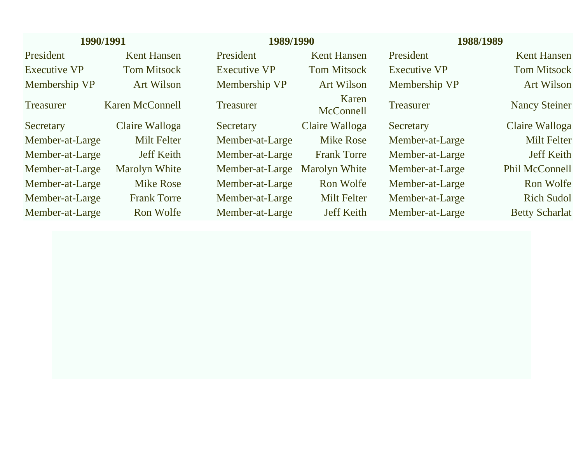| 1990/1991           |                        | 1989/1990                     |                    |                     | 1988/1989             |  |
|---------------------|------------------------|-------------------------------|--------------------|---------------------|-----------------------|--|
| President           | <b>Kent Hansen</b>     | President                     | <b>Kent Hansen</b> | President           | <b>Kent Hansen</b>    |  |
| <b>Executive VP</b> | <b>Tom Mitsock</b>     | <b>Executive VP</b>           | <b>Tom Mitsock</b> | <b>Executive VP</b> | <b>Tom Mitsock</b>    |  |
| Membership VP       | <b>Art Wilson</b>      | Membership VP                 | <b>Art Wilson</b>  | Membership VP       | <b>Art Wilson</b>     |  |
| <b>Treasurer</b>    | <b>Karen McConnell</b> | <b>Treasurer</b>              | Karen<br>McConnell | <b>Treasurer</b>    | <b>Nancy Steiner</b>  |  |
| Secretary           | Claire Walloga         | Secretary                     | Claire Walloga     | Secretary           | Claire Walloga        |  |
| Member-at-Large     | <b>Milt Felter</b>     | Member-at-Large               | <b>Mike Rose</b>   | Member-at-Large     | <b>Milt Felter</b>    |  |
| Member-at-Large     | <b>Jeff Keith</b>      | Member-at-Large               | <b>Frank Torre</b> | Member-at-Large     | <b>Jeff Keith</b>     |  |
| Member-at-Large     | <b>Marolyn White</b>   | Member-at-Large Marolyn White |                    | Member-at-Large     | <b>Phil McConnell</b> |  |
| Member-at-Large     | <b>Mike Rose</b>       | Member-at-Large               | Ron Wolfe          | Member-at-Large     | Ron Wolfe             |  |
| Member-at-Large     | <b>Frank Torre</b>     | Member-at-Large               | <b>Milt Felter</b> | Member-at-Large     | <b>Rich Sudol</b>     |  |
| Member-at-Large     | Ron Wolfe              | Member-at-Large               | <b>Jeff Keith</b>  | Member-at-Large     | <b>Betty Scharlat</b> |  |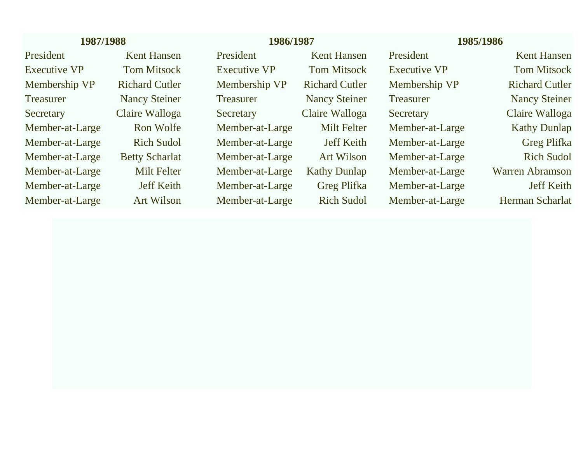| 1987/1988           |                       |                     | 1986/1987             |                     | 1985/1986              |  |
|---------------------|-----------------------|---------------------|-----------------------|---------------------|------------------------|--|
| President           | <b>Kent Hansen</b>    | President           | <b>Kent Hansen</b>    | President           | <b>Kent Hansen</b>     |  |
| <b>Executive VP</b> | <b>Tom Mitsock</b>    | <b>Executive VP</b> | <b>Tom Mitsock</b>    | <b>Executive VP</b> | <b>Tom Mitsock</b>     |  |
| Membership VP       | <b>Richard Cutler</b> | Membership VP       | <b>Richard Cutler</b> | Membership VP       | <b>Richard Cutler</b>  |  |
| <b>Treasurer</b>    | <b>Nancy Steiner</b>  | <b>Treasurer</b>    | <b>Nancy Steiner</b>  | <b>Treasurer</b>    | <b>Nancy Steiner</b>   |  |
| Secretary           | Claire Walloga        | Secretary           | Claire Walloga        | Secretary           | Claire Walloga         |  |
| Member-at-Large     | Ron Wolfe             | Member-at-Large     | Milt Felter           | Member-at-Large     | <b>Kathy Dunlap</b>    |  |
| Member-at-Large     | <b>Rich Sudol</b>     | Member-at-Large     | <b>Jeff Keith</b>     | Member-at-Large     | <b>Greg Plifka</b>     |  |
| Member-at-Large     | <b>Betty Scharlat</b> | Member-at-Large     | <b>Art Wilson</b>     | Member-at-Large     | <b>Rich Sudol</b>      |  |
| Member-at-Large     | Milt Felter           | Member-at-Large     | <b>Kathy Dunlap</b>   | Member-at-Large     | <b>Warren Abramson</b> |  |
| Member-at-Large     | <b>Jeff Keith</b>     | Member-at-Large     | <b>Greg Plifka</b>    | Member-at-Large     | <b>Jeff Keith</b>      |  |
| Member-at-Large     | <b>Art Wilson</b>     | Member-at-Large     | <b>Rich Sudol</b>     | Member-at-Large     | Herman Scharlat        |  |